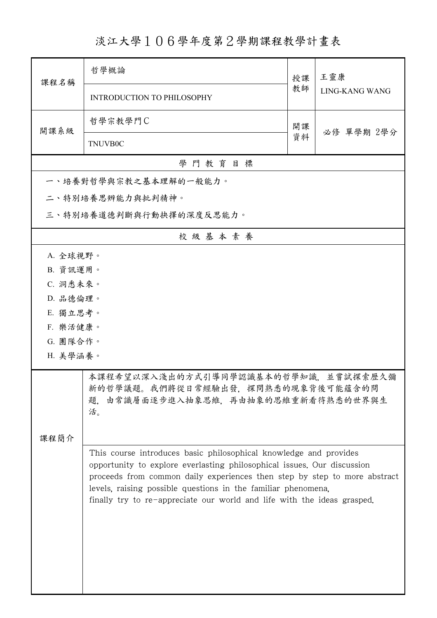## 淡江大學106學年度第2學期課程教學計畫表

| 課程名稱                                                                                                                             | 哲學概論                                                                                                                                                                                                                                                                                                                                                                  | 授課 | 王靈康<br>LING-KANG WANG |  |  |  |
|----------------------------------------------------------------------------------------------------------------------------------|-----------------------------------------------------------------------------------------------------------------------------------------------------------------------------------------------------------------------------------------------------------------------------------------------------------------------------------------------------------------------|----|-----------------------|--|--|--|
|                                                                                                                                  | <b>INTRODUCTION TO PHILOSOPHY</b>                                                                                                                                                                                                                                                                                                                                     | 教師 |                       |  |  |  |
| 開課系級                                                                                                                             | 哲學宗教學門C                                                                                                                                                                                                                                                                                                                                                               | 開課 |                       |  |  |  |
|                                                                                                                                  | <b>TNUVB0C</b>                                                                                                                                                                                                                                                                                                                                                        | 資料 | 必修 單學期 2學分            |  |  |  |
| 學門教育目標                                                                                                                           |                                                                                                                                                                                                                                                                                                                                                                       |    |                       |  |  |  |
|                                                                                                                                  | 一、培養對哲學與宗教之基本理解的一般能力。                                                                                                                                                                                                                                                                                                                                                 |    |                       |  |  |  |
|                                                                                                                                  | 二、特別培養思辨能力與批判精神。                                                                                                                                                                                                                                                                                                                                                      |    |                       |  |  |  |
|                                                                                                                                  | 三、特別培養道德判斷與行動抉擇的深度反思能力。                                                                                                                                                                                                                                                                                                                                               |    |                       |  |  |  |
|                                                                                                                                  | 校級基本素養                                                                                                                                                                                                                                                                                                                                                                |    |                       |  |  |  |
| A. 全球視野。                                                                                                                         |                                                                                                                                                                                                                                                                                                                                                                       |    |                       |  |  |  |
| B. 資訊運用。                                                                                                                         |                                                                                                                                                                                                                                                                                                                                                                       |    |                       |  |  |  |
| C. 洞悉未來。                                                                                                                         |                                                                                                                                                                                                                                                                                                                                                                       |    |                       |  |  |  |
| D. 品德倫理。                                                                                                                         |                                                                                                                                                                                                                                                                                                                                                                       |    |                       |  |  |  |
| E. 獨立思考。                                                                                                                         |                                                                                                                                                                                                                                                                                                                                                                       |    |                       |  |  |  |
| F. 樂活健康。<br>G. 團隊合作。                                                                                                             |                                                                                                                                                                                                                                                                                                                                                                       |    |                       |  |  |  |
| H. 美學涵養。                                                                                                                         |                                                                                                                                                                                                                                                                                                                                                                       |    |                       |  |  |  |
|                                                                                                                                  |                                                                                                                                                                                                                                                                                                                                                                       |    |                       |  |  |  |
| 本課程希望以深入淺出的方式引導同學認識基本的哲學知識,並嘗試探索歷久彌<br>新的哲學議題。我們將從日常經驗出發,探問熟悉的現象背後可能蘊含的問<br>由常識層面逐步進入抽象思維,再由抽象的思維重新看待熟悉的世界與生<br>題.<br>活。<br>课程简介 |                                                                                                                                                                                                                                                                                                                                                                       |    |                       |  |  |  |
|                                                                                                                                  | This course introduces basic philosophical knowledge and provides<br>opportunity to explore everlasting philosophical issues. Our discussion<br>proceeds from common daily experiences then step by step to more abstract<br>levels, raising possible questions in the familiar phenomena,<br>finally try to re-appreciate our world and life with the ideas grasped. |    |                       |  |  |  |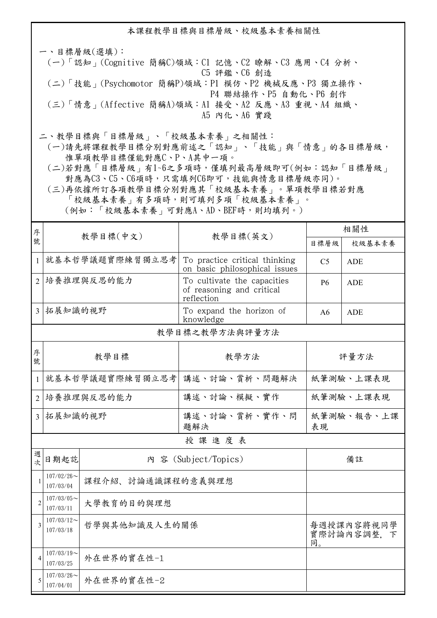本課程教學目標與目標層級、校級基本素養相關性 一、目標層級(選填): (一)「認知」(Cognitive 簡稱C)領域:C1 記憶、C2 瞭解、C3 應用、C4 分析、 C5 評鑑、C6 創造 (二)「技能」(Psychomotor 簡稱P)領域:P1 模仿、P2 機械反應、P3 獨立操作、 P4 聯結操作、P5 自動化、P6 創作 (三)「情意」(Affective 簡稱A)領域:A1 接受、A2 反應、A3 重視、A4 組織、 A5 內化、A6 實踐 二、教學目標與「目標層級」、「校級基本素養」之相關性:

 (一)請先將課程教學目標分別對應前述之「認知」、「技能」與「情意」的各目標層級, 惟單項教學目標僅能對應C、P、A其中一項。

 (二)若對應「目標層級」有1~6之多項時,僅填列最高層級即可(例如:認知「目標層級」 對應為C3、C5、C6項時,只需填列C6即可,技能與情意目標層級亦同)。

 (三)再依據所訂各項教學目標分別對應其「校級基本素養」。單項教學目標若對應 「校級基本素養」有多項時,則可填列多項「校級基本素養」。 (例如:「校級基本素養」可對應A、AD、BEF時,則均填列。)

| 序              |                                                 |                      |                                                                        | 相關性              |            |  |  |
|----------------|-------------------------------------------------|----------------------|------------------------------------------------------------------------|------------------|------------|--|--|
| 號              |                                                 | 教學目標(中文)             | 教學目標(英文)                                                               | 目標層級             | 校級基本素養     |  |  |
| $\mathbf{1}$   | 就基本哲學議題實際練習獨立思考                                 |                      | To practice critical thinking<br>on basic philosophical issues         | C <sub>5</sub>   | <b>ADE</b> |  |  |
| $\overline{2}$ | 培養推理與反思的能力                                      |                      | To cultivate the capacities<br>of reasoning and critical<br>reflection | <b>P6</b>        | <b>ADE</b> |  |  |
| $\overline{3}$ | 拓展知識的視野                                         |                      | To expand the horizon of<br>knowledge                                  | A6               | <b>ADE</b> |  |  |
|                | 教學目標之教學方法與評量方法                                  |                      |                                                                        |                  |            |  |  |
| 序<br>號         | 教學目標                                            |                      | 教學方法                                                                   | 評量方法             |            |  |  |
| $\mathbf{1}$   | 就基本哲學議題實際練習獨立思考                                 |                      | 講述、討論、賞析、問題解決                                                          | 紙筆測驗、上課表現        |            |  |  |
| $\overline{2}$ | 培養推理與反思的能力                                      |                      | 講述、討論、模擬、實作                                                            | 紙筆測驗、上課表現        |            |  |  |
| 3              | 拓展知識的視野                                         |                      | 講述、討論、賞析、實作、問<br>題解決                                                   | 紙筆測驗、報告、上課<br>表現 |            |  |  |
| 授課進度表          |                                                 |                      |                                                                        |                  |            |  |  |
| 週<br>次         | 日期起訖                                            | 內 容 (Subject/Topics) |                                                                        | 備註               |            |  |  |
| $\mathbf{1}$   | $107/02/26$ ~<br>課程介紹、討論通識課程的意義與理想<br>107/03/04 |                      |                                                                        |                  |            |  |  |
| $\overline{2}$ | $107/03/05$ ~<br>大學教育的目的與理想<br>107/03/11        |                      |                                                                        |                  |            |  |  |
| $\overline{3}$ | $107/03/12$ ~<br>哲學與其他知識及人生的關係<br>107/03/18     |                      | 每週授課內容將視同學<br>實際討論內容調整、下<br>同。                                         |                  |            |  |  |
| $\overline{4}$ | $107/03/19$ ~<br>外在世界的實在性-1<br>107/03/25        |                      |                                                                        |                  |            |  |  |
| 5              | $107/03/26$ ~<br>外在世界的實在性-2<br>107/04/01        |                      |                                                                        |                  |            |  |  |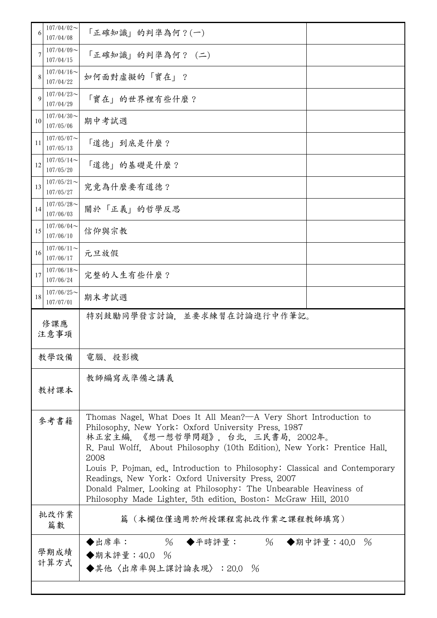| 6  | $107/04/02$ ~<br>107/04/08                | 「正確知識」的判準為何?(一)                                                                                                                                                                                                                                                                                                                                                                                                                                                                                                                 |  |
|----|-------------------------------------------|---------------------------------------------------------------------------------------------------------------------------------------------------------------------------------------------------------------------------------------------------------------------------------------------------------------------------------------------------------------------------------------------------------------------------------------------------------------------------------------------------------------------------------|--|
| 7  | $107/04/09$ ~<br>107/04/15                | 「正確知識」的判準為何? (二)                                                                                                                                                                                                                                                                                                                                                                                                                                                                                                                |  |
| 8  | $107/04/16 \sim$<br>107/04/22             | 如何面對虛擬的「實在」?                                                                                                                                                                                                                                                                                                                                                                                                                                                                                                                    |  |
| 9  | $107/04/23$ ~<br>107/04/29                | 「實在」的世界裡有些什麼?                                                                                                                                                                                                                                                                                                                                                                                                                                                                                                                   |  |
| 10 | $107/04/30$ ~<br>107/05/06                | 期中考試週                                                                                                                                                                                                                                                                                                                                                                                                                                                                                                                           |  |
| 11 | $107/05/07$ ~<br>107/05/13                | 「道德」到底是什麼?                                                                                                                                                                                                                                                                                                                                                                                                                                                                                                                      |  |
| 12 | $107/05/14$ ~<br>107/05/20                | 「道德」的基礎是什麼?                                                                                                                                                                                                                                                                                                                                                                                                                                                                                                                     |  |
| 13 | $107/05/21$ ~<br>107/05/27                | 究竟為什麼要有道德?                                                                                                                                                                                                                                                                                                                                                                                                                                                                                                                      |  |
| 14 | $107/05/28$ ~<br>107/06/03                | 關於「正義」的哲學反思                                                                                                                                                                                                                                                                                                                                                                                                                                                                                                                     |  |
| 15 | $107/06/04$ ~<br>107/06/10                | 信仰與宗教                                                                                                                                                                                                                                                                                                                                                                                                                                                                                                                           |  |
| 16 | $107/06/11$ ~<br>107/06/17                | 元旦放假                                                                                                                                                                                                                                                                                                                                                                                                                                                                                                                            |  |
| 17 | $107/06/18$ ~<br>107/06/24                | 完整的人生有些什麼?                                                                                                                                                                                                                                                                                                                                                                                                                                                                                                                      |  |
| 18 | $107/06/25$ ~<br>107/07/01                | 期末考試週                                                                                                                                                                                                                                                                                                                                                                                                                                                                                                                           |  |
|    | 特別鼓勵同學發言討論,並要求練習在討論進行中作筆記。<br>修課應<br>注意事項 |                                                                                                                                                                                                                                                                                                                                                                                                                                                                                                                                 |  |
|    |                                           |                                                                                                                                                                                                                                                                                                                                                                                                                                                                                                                                 |  |
|    | 教學設備                                      | 電腦、投影機                                                                                                                                                                                                                                                                                                                                                                                                                                                                                                                          |  |
|    | 教材課本                                      | 教師編寫或準備之講義                                                                                                                                                                                                                                                                                                                                                                                                                                                                                                                      |  |
|    | 參考書籍                                      | Thomas Nagel, What Does It All Mean?—A Very Short Introduction to<br>Philosophy, New York: Oxford University Press, 1987<br>林正宏主編. 《想一想哲學問題》. 台北. 三民書局. 2002年。<br>R. Paul Wolff, About Philosophy (10th Edition), New York: Prentice Hall,<br>2008<br>Louis P. Pojman, ed., Introduction to Philosophy: Classical and Contemporary<br>Readings, New York: Oxford University Press, 2007<br>Donald Palmer, Looking at Philosophy: The Unbearable Heaviness of<br>Philosophy Made Lighter, 5th edition, Boston: McGraw Hill, 2010 |  |
|    | 批改作業<br>篇數                                | 篇(本欄位僅適用於所授課程需批改作業之課程教師填寫)                                                                                                                                                                                                                                                                                                                                                                                                                                                                                                      |  |
|    | 學期成績<br>計算方式                              | ◆出席率: 96 ◆平時評量: 96 ◆期中評量:40.0 %<br>◆期末評量: 40.0 %<br>◆其他〈出席率與上課討論表現〉:20.0 %                                                                                                                                                                                                                                                                                                                                                                                                                                                      |  |